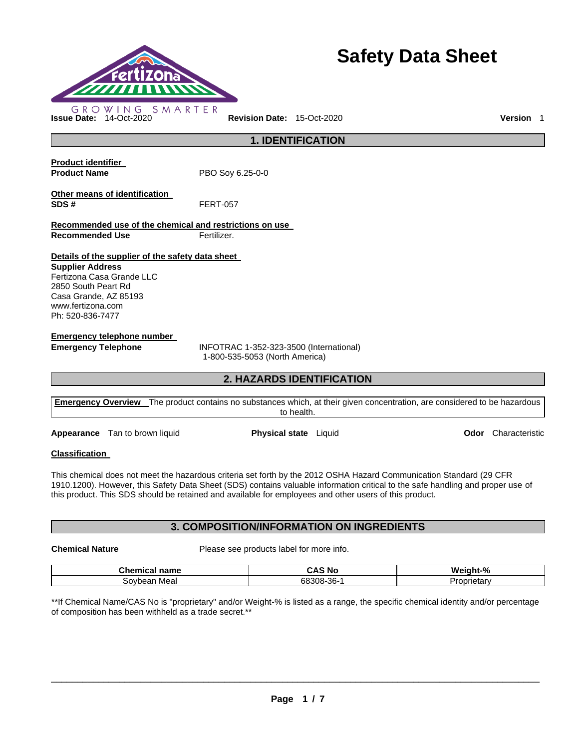

# **Safety Data Sheet**

**1. IDENTIFICATION Product identifier Product Name** PBO Soy 6.25-0-0 **Other means of identification SDS #** FERT-057 **Recommended use of the chemical and restrictions on use** 

**Recommended Use Fertilizer.** 

# **Details of the supplier of the safety data sheet**

**Supplier Address** Fertizona Casa Grande LLC 2850 South Peart Rd Casa Grande, AZ 85193 www.fertizona.com Ph: 520-836-7477

# **Emergency telephone number**

**Emergency Telephone** INFOTRAC 1-352-323-3500 (International) 1-800-535-5053 (North America)

# **2. HAZARDS IDENTIFICATION**

| <b>Emergency Overview</b> The product contains no substances which, at their given concentration, are considered to be hazardous |
|----------------------------------------------------------------------------------------------------------------------------------|
| to health.                                                                                                                       |

**Appearance** Tan to brown liquid **Physical state** Liquid **Odor** Characteristic

# **Classification**

This chemical does not meet the hazardous criteria set forth by the 2012 OSHA Hazard Communication Standard (29 CFR 1910.1200). However, this Safety Data Sheet (SDS) contains valuable information critical to the safe handling and proper use of this product. This SDS should be retained and available for employees and other users of this product.

# **3. COMPOSITION/INFORMATION ON INGREDIENTS**

**Chemical Nature** Please see products label for more info.

| Chemical<br>name         | ^<br>N0<br>.           | %<br>Wє<br>ιт |
|--------------------------|------------------------|---------------|
| Meal<br>:nvr<br>hear<br> | റര<br>cor<br>68308-36- | ----<br>ισια  |

\*\*If Chemical Name/CAS No is "proprietary" and/or Weight-% is listed as a range, the specific chemical identity and/or percentage of composition has been withheld as a trade secret.\*\*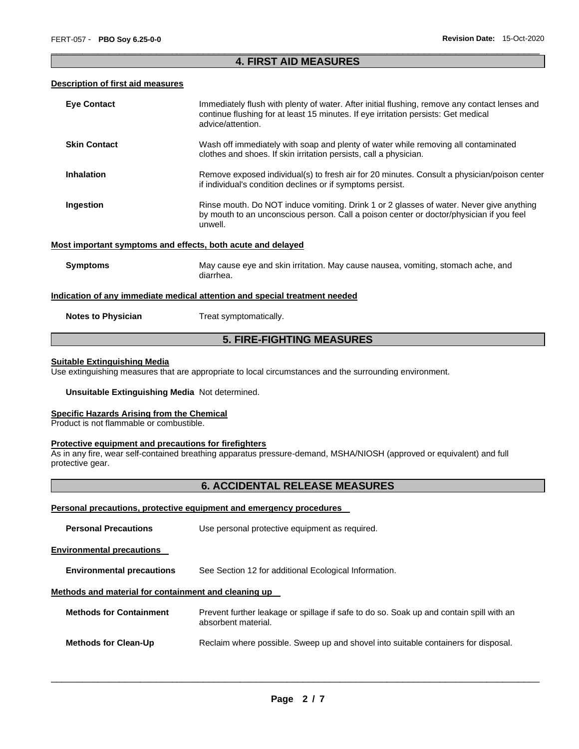# \_\_\_\_\_\_\_\_\_\_\_\_\_\_\_\_\_\_\_\_\_\_\_\_\_\_\_\_\_\_\_\_\_\_\_\_\_\_\_\_\_\_\_\_\_\_\_\_\_\_\_\_\_\_\_\_\_\_\_\_\_\_\_\_\_\_\_\_\_\_\_\_\_\_\_\_\_\_\_\_\_\_\_\_\_\_\_\_\_\_\_\_\_ **4. FIRST AID MEASURES**

# **Description of first aid measures**

| <b>Eye Contact</b>                                          | Immediately flush with plenty of water. After initial flushing, remove any contact lenses and<br>continue flushing for at least 15 minutes. If eye irritation persists: Get medical<br>advice/attention. |  |  |  |
|-------------------------------------------------------------|----------------------------------------------------------------------------------------------------------------------------------------------------------------------------------------------------------|--|--|--|
| <b>Skin Contact</b>                                         | Wash off immediately with soap and plenty of water while removing all contaminated<br>clothes and shoes. If skin irritation persists, call a physician.                                                  |  |  |  |
| <b>Inhalation</b>                                           | Remove exposed individual(s) to fresh air for 20 minutes. Consult a physician/poison center<br>if individual's condition declines or if symptoms persist.                                                |  |  |  |
| Ingestion                                                   | Rinse mouth. Do NOT induce vomiting. Drink 1 or 2 glasses of water. Never give anything<br>by mouth to an unconscious person. Call a poison center or doctor/physician if you feel<br>unwell.            |  |  |  |
| Most important symptoms and effects, both acute and delayed |                                                                                                                                                                                                          |  |  |  |
| <b>Symptoms</b>                                             | May cause eye and skin irritation. May cause nausea, vomiting, stomach ache, and<br>diarrhea.                                                                                                            |  |  |  |
|                                                             | Indication of any immediate medical attention and special treatment needed                                                                                                                               |  |  |  |
| <b>Notes to Physician</b>                                   | Treat symptomatically.                                                                                                                                                                                   |  |  |  |
| <b>5. FIRE-FIGHTING MEASURES</b>                            |                                                                                                                                                                                                          |  |  |  |

# **Suitable Extinguishing Media**

Use extinguishing measures that are appropriate to local circumstances and the surrounding environment.

### **Unsuitable Extinguishing Media** Not determined.

### **Specific Hazards Arising from the Chemical**

Product is not flammable or combustible.

#### **Protective equipment and precautions for firefighters**

As in any fire, wear self-contained breathing apparatus pressure-demand, MSHA/NIOSH (approved or equivalent) and full protective gear.

# **6. ACCIDENTAL RELEASE MEASURES**

# **Personal precautions, protective equipment and emergency procedures**

| <b>Personal Precautions</b>                                                               | Use personal protective equipment as required.                                                                 |  |  |  |  |  |
|-------------------------------------------------------------------------------------------|----------------------------------------------------------------------------------------------------------------|--|--|--|--|--|
| <b>Environmental precautions</b>                                                          |                                                                                                                |  |  |  |  |  |
| <b>Environmental precautions</b><br>See Section 12 for additional Ecological Information. |                                                                                                                |  |  |  |  |  |
| Methods and material for containment and cleaning up                                      |                                                                                                                |  |  |  |  |  |
| <b>Methods for Containment</b>                                                            | Prevent further leakage or spillage if safe to do so. Soak up and contain spill with an<br>absorbent material. |  |  |  |  |  |
| <b>Methods for Clean-Up</b>                                                               | Reclaim where possible. Sweep up and shovel into suitable containers for disposal.                             |  |  |  |  |  |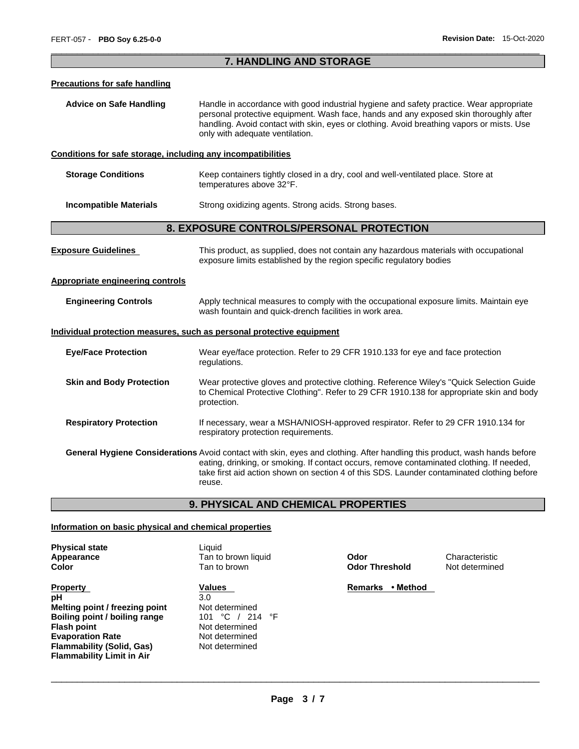# \_\_\_\_\_\_\_\_\_\_\_\_\_\_\_\_\_\_\_\_\_\_\_\_\_\_\_\_\_\_\_\_\_\_\_\_\_\_\_\_\_\_\_\_\_\_\_\_\_\_\_\_\_\_\_\_\_\_\_\_\_\_\_\_\_\_\_\_\_\_\_\_\_\_\_\_\_\_\_\_\_\_\_\_\_\_\_\_\_\_\_\_\_ **7. HANDLING AND STORAGE**

### **Precautions for safe handling**

**Advice on Safe Handling** Handle in accordance with good industrial hygiene and safety practice. Wear appropriate personal protective equipment. Wash face, hands and any exposed skin thoroughly after handling. Avoid contact with skin, eyes or clothing. Avoid breathing vapors or mists. Use only with adequate ventilation.

## **Conditions for safe storage, including any incompatibilities**

| <b>Storage Conditions</b> | Keep containers tightly closed in a dry, cool and well-ventilated place. Store at |
|---------------------------|-----------------------------------------------------------------------------------|
|                           | temperatures above 32°F.                                                          |
|                           |                                                                                   |

**Incompatible Materials Strong oxidizing agents. Strong acids. Strong bases.** 

# **8. EXPOSURE CONTROLS/PERSONAL PROTECTION**

| <b>Exposure Guidelines</b>              | This product, as supplied, does not contain any hazardous materials with occupational<br>exposure limits established by the region specific regulatory bodies                                                                                                                                                                  |  |  |
|-----------------------------------------|--------------------------------------------------------------------------------------------------------------------------------------------------------------------------------------------------------------------------------------------------------------------------------------------------------------------------------|--|--|
| <b>Appropriate engineering controls</b> |                                                                                                                                                                                                                                                                                                                                |  |  |
| <b>Engineering Controls</b>             | Apply technical measures to comply with the occupational exposure limits. Maintain eye<br>wash fountain and quick-drench facilities in work area.                                                                                                                                                                              |  |  |
|                                         | <u>Individual protection measures, such as personal protective equipment</u>                                                                                                                                                                                                                                                   |  |  |
| <b>Eye/Face Protection</b>              | Wear eye/face protection. Refer to 29 CFR 1910.133 for eye and face protection<br>regulations.                                                                                                                                                                                                                                 |  |  |
| <b>Skin and Body Protection</b>         | Wear protective gloves and protective clothing. Reference Wiley's "Quick Selection Guide"<br>to Chemical Protective Clothing". Refer to 29 CFR 1910.138 for appropriate skin and body<br>protection.                                                                                                                           |  |  |
| <b>Respiratory Protection</b>           | If necessary, wear a MSHA/NIOSH-approved respirator. Refer to 29 CFR 1910.134 for<br>respiratory protection requirements.                                                                                                                                                                                                      |  |  |
|                                         | General Hygiene Considerations Avoid contact with skin, eyes and clothing. After handling this product, wash hands before<br>eating, drinking, or smoking. If contact occurs, remove contaminated clothing. If needed,<br>take first aid action shown on section 4 of this SDS. Launder contaminated clothing before<br>reuse. |  |  |

**9. PHYSICAL AND CHEMICAL PROPERTIES** 

#### **Information on basic physical and chemical properties**

| <b>Physical state</b> |
|-----------------------|
| Appearance            |
| Color                 |

**Property Contract Property Contract Property Contract Property Contract Property Contract Property Contract Property pH** 3.0 **Melting point / freezing point** Not determined **Boiling point / boiling range** 101 °C / 214 °F **Flash point** Not determined **Evaporation Rate Not determined Flammability (Solid, Gas)** Not determined **Flammability Limit in Air** 

Liquid Tan to brown liquid **Odor Characteristic Color** Tan to brown **Odor Threshold** Not determined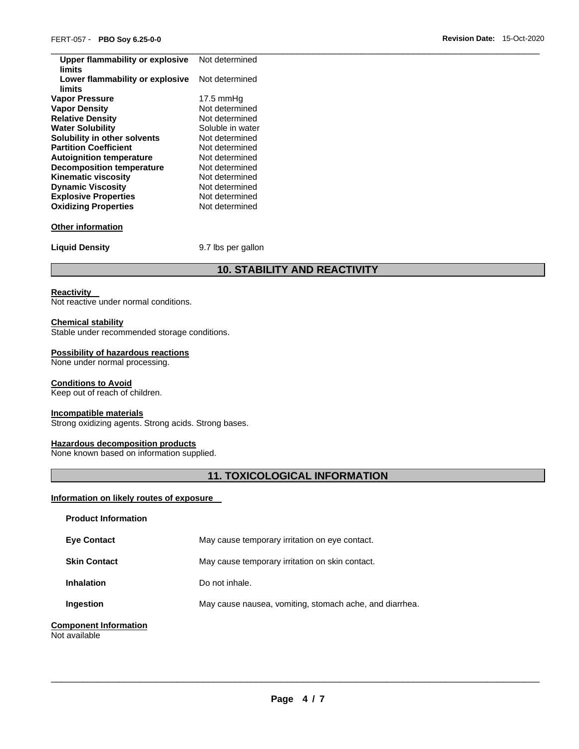| Upper flammability or explosive<br>limits | Not determined      |
|-------------------------------------------|---------------------|
| Lower flammability or explosive<br>limits | Not determined      |
| <b>Vapor Pressure</b>                     | $17.5 \text{ mmHg}$ |
| <b>Vapor Density</b>                      | Not determined      |
| <b>Relative Density</b>                   | Not determined      |
| <b>Water Solubility</b>                   | Soluble in water    |
| Solubility in other solvents              | Not determined      |
| <b>Partition Coefficient</b>              | Not determined      |
| <b>Autoignition temperature</b>           | Not determined      |
| <b>Decomposition temperature</b>          | Not determined      |
| <b>Kinematic viscosity</b>                | Not determined      |
| <b>Dynamic Viscosity</b>                  | Not determined      |
| <b>Explosive Properties</b>               | Not determined      |
| <b>Oxidizing Properties</b>               | Not determined      |
| <b>Other information</b>                  |                     |
| <b>Liquid Density</b>                     | 9.7 lbs per gallon  |
|                                           |                     |

# **10. STABILITY AND REACTIVITY**

## **Reactivity**

Not reactive under normal conditions.

# **Chemical stability**

Stable under recommended storage conditions.

# **Possibility of hazardous reactions**

None under normal processing.

## **Conditions to Avoid**

Keep out of reach of children.

# **Incompatible materials**

Strong oxidizing agents. Strong acids. Strong bases.

#### **Hazardous decomposition products**

None known based on information supplied.

# **11. TOXICOLOGICAL INFORMATION**

# **Information on likely routes of exposure**

| <b>Product Information</b>                    |                                                         |
|-----------------------------------------------|---------------------------------------------------------|
| <b>Eve Contact</b>                            | May cause temporary irritation on eye contact.          |
| <b>Skin Contact</b>                           | May cause temporary irritation on skin contact.         |
| <b>Inhalation</b>                             | Do not inhale.                                          |
| Ingestion                                     | May cause nausea, vomiting, stomach ache, and diarrhea. |
| <b>Component Information</b><br>Not available |                                                         |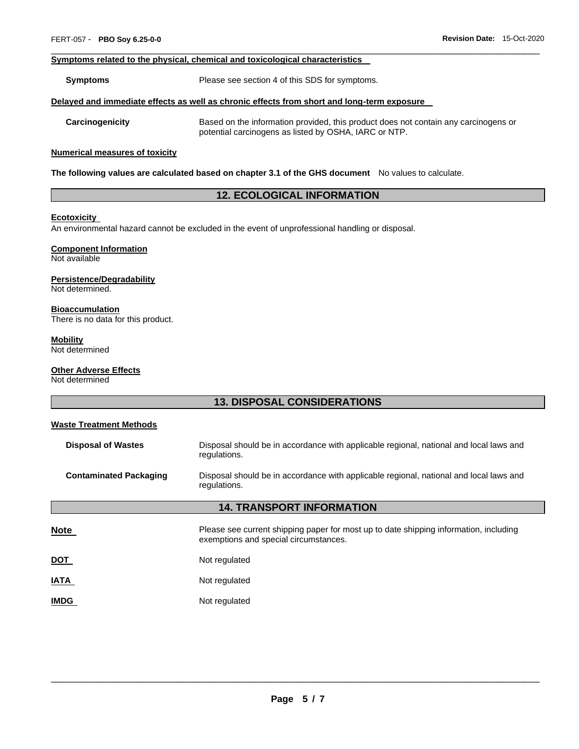#### **Symptoms related to the physical, chemical and toxicological characteristics**

**Symptoms** Please see section 4 of this SDS for symptoms.

#### **Delayed and immediate effects as well as chronic effects from short and long-term exposure**

**Carcinogenicity** Based on the information provided, this product does not contain any carcinogens or potential carcinogens as listed by OSHA, IARC or NTP.

#### **Numerical measures of toxicity**

**The following values are calculated based on chapter 3.1 of the GHS document** No values to calculate.

# **12. ECOLOGICAL INFORMATION**

\_\_\_\_\_\_\_\_\_\_\_\_\_\_\_\_\_\_\_\_\_\_\_\_\_\_\_\_\_\_\_\_\_\_\_\_\_\_\_\_\_\_\_\_\_\_\_\_\_\_\_\_\_\_\_\_\_\_\_\_\_\_\_\_\_\_\_\_\_\_\_\_\_\_\_\_\_\_\_\_\_\_\_\_\_\_\_\_\_\_\_\_\_

#### **Ecotoxicity**

An environmental hazard cannot be excluded in the event of unprofessional handling or disposal.

# **Component Information**

Not available

#### **Persistence/Degradability**

Not determined.

#### **Bioaccumulation**

There is no data for this product.

# **Mobility**

Not determined

# **Other Adverse Effects**

Not determined

# **13. DISPOSAL CONSIDERATIONS**

# **Waste Treatment Methods Disposal of Wastes** Disposal should be in accordance with applicable regional, national and local laws and regulations. **Contaminated Packaging** Disposal should be in accordance with applicable regional, national and local laws and regulations. **14. TRANSPORT INFORMATION Note** Please see current shipping paper for most up to date shipping information, including exemptions and special circumstances. **DOT** Not regulated **IATA** Not regulated

**IMDG** Not regulated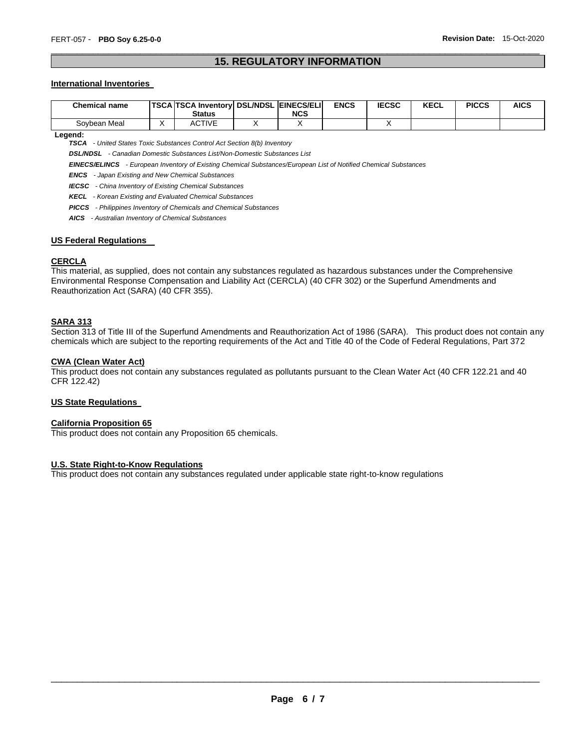# \_\_\_\_\_\_\_\_\_\_\_\_\_\_\_\_\_\_\_\_\_\_\_\_\_\_\_\_\_\_\_\_\_\_\_\_\_\_\_\_\_\_\_\_\_\_\_\_\_\_\_\_\_\_\_\_\_\_\_\_\_\_\_\_\_\_\_\_\_\_\_\_\_\_\_\_\_\_\_\_\_\_\_\_\_\_\_\_\_\_\_\_\_ **15. REGULATORY INFORMATION**

### **International Inventories**

| <b>Chemical name</b> | <b>TSCA TSCA Inventory DSL/NDSL EINECS/ELI</b><br><b>Status</b> | NCS | <b>ENCS</b> | <b>IECSC</b> | <b>KECL</b> | <b>PICCS</b> | AICS |
|----------------------|-----------------------------------------------------------------|-----|-------------|--------------|-------------|--------------|------|
| Sovbean Meal         | ACTIVE                                                          |     |             |              |             |              |      |

| eaend |  |
|-------|--|
|       |  |

*TSCA - United States Toxic Substances Control Act Section 8(b) Inventory* 

*DSL/NDSL - Canadian Domestic Substances List/Non-Domestic Substances List* 

*EINECS/ELINCS - European Inventory of Existing Chemical Substances/European List of Notified Chemical Substances* 

*ENCS - Japan Existing and New Chemical Substances* 

*IECSC - China Inventory of Existing Chemical Substances* 

*KECL - Korean Existing and Evaluated Chemical Substances* 

*PICCS - Philippines Inventory of Chemicals and Chemical Substances* 

*AICS - Australian Inventory of Chemical Substances* 

#### **US Federal Regulations**

#### **CERCLA**

This material, as supplied, does not contain any substances regulated as hazardous substances under the Comprehensive Environmental Response Compensation and Liability Act (CERCLA) (40 CFR 302) or the Superfund Amendments and Reauthorization Act (SARA) (40 CFR 355).

# **SARA 313**

Section 313 of Title III of the Superfund Amendments and Reauthorization Act of 1986 (SARA). This product does not contain any chemicals which are subject to the reporting requirements of the Act and Title 40 of the Code of Federal Regulations, Part 372

#### **CWA (Clean Water Act)**

This product does not contain any substances regulated as pollutants pursuant to the Clean Water Act (40 CFR 122.21 and 40 CFR 122.42)

#### **US State Regulations**

#### **California Proposition 65**

This product does not contain any Proposition 65 chemicals.

#### **U.S. State Right-to-Know Regulations**

This product does not contain any substances regulated under applicable state right-to-know regulations